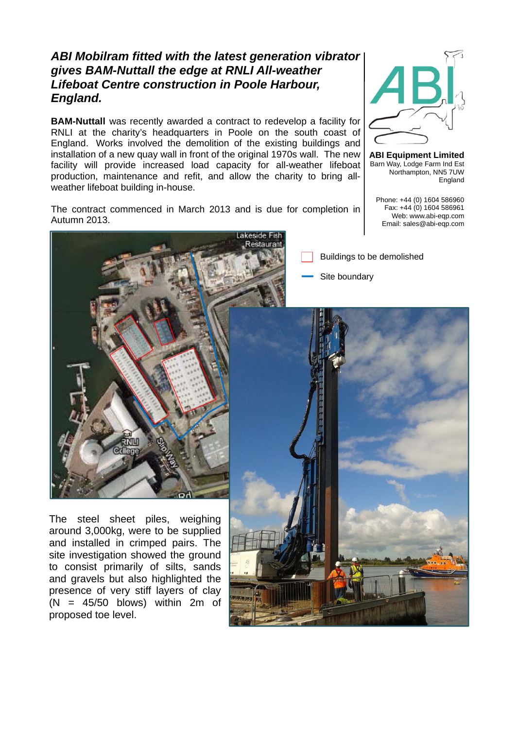## *ABI Mobilram fitted with the latest generation vibrator gives BAM-Nuttall the edge at RNLI All-weather Lifeboat Centre construction in Poole Harbour, England.*

**BAM-Nuttall** was recently awarded a contract to redevelop a facility for RNLI at the charity's headquarters in Poole on the south coast of England. Works involved the demolition of the existing buildings and installation of a new quay wall in front of the original 1970s wall. The new facility will provide increased load capacity for all-weather lifeboat production, maintenance and refit, and allow the charity to bring allweather lifeboat building in-house.



**ABI Equipment Limited** Barn Way, Lodge Farm Ind Est Northampton, NN5 7UW England

Phone: +44 (0) 1604 586960 Fax: +44 (0) 1604 586961 Web: www.abi-eqp.com Email: sales@abi-eqp.com

The contract commenced in March 2013 and is due for completion in Autumn 2013.



Buildings to be demolished

Site boundary

The steel sheet piles, weighing around 3,000kg, were to be supplied and installed in crimped pairs. The site investigation showed the ground to consist primarily of silts, sands and gravels but also highlighted the presence of very stiff layers of clay  $(N = 45/50$  blows) within 2m of proposed toe level.